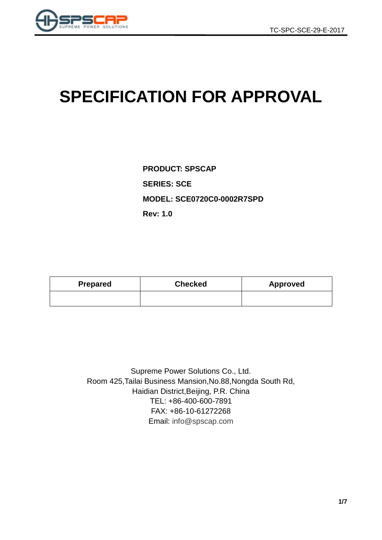

# **SPECIFICATION FOR APPROVAL**

**PRODUCT: SPSCAP SERIES: SCE MODEL: SCE0720C0-0002R7SPD Rev: 1.0**

| <b>Prepared</b> | <b>Checked</b> | Approved |  |  |  |
|-----------------|----------------|----------|--|--|--|
|                 |                |          |  |  |  |

Supreme Power Solutions Co., Ltd. Room 425,Tailai Business Mansion,No.88,Nongda South Rd, Haidian District,Beijing, P.R. China TEL: +86-400-600-7891 FAX: +86-10-61272268 Email: [info@spscap.com](mailto:info@spscap.com)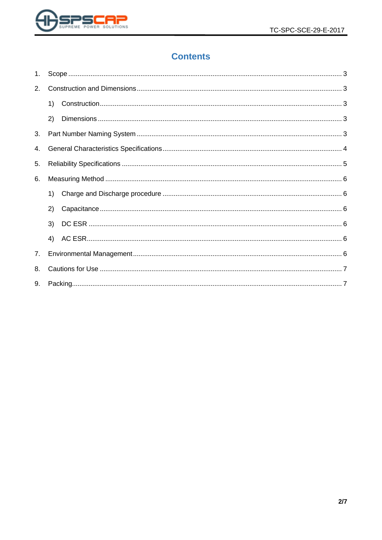

# **Contents**

| 1. |    |  |
|----|----|--|
| 2. |    |  |
|    | 1) |  |
|    | 2) |  |
| 3. |    |  |
| 4. |    |  |
| 5. |    |  |
| 6. |    |  |
|    | 1) |  |
|    | 2) |  |
|    | 3) |  |
|    | 4) |  |
| 7. |    |  |
| 8. |    |  |
| 9. |    |  |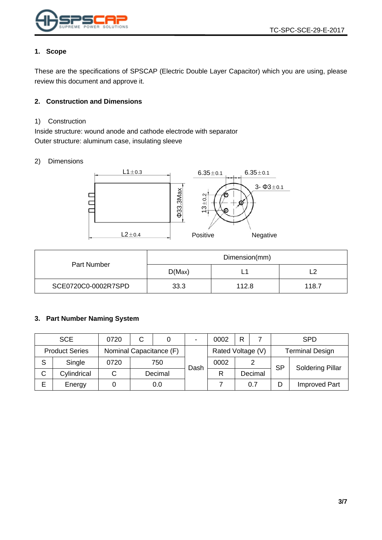

#### <span id="page-2-0"></span>**1. Scope**

These are the specifications of SPSCAP (Electric Double Layer Capacitor) which you are using, please review this document and approve it.

#### <span id="page-2-1"></span>**2. Construction and Dimensions**

#### <span id="page-2-2"></span>1) Construction

Inside structure: wound anode and cathode electrode with separator Outer structure: aluminum case, insulating sleeve

#### <span id="page-2-3"></span>2) Dimensions



| Part Number         | Dimension(mm) |       |       |  |
|---------------------|---------------|-------|-------|--|
|                     | D(Max)        |       |       |  |
| SCE0720C0-0002R7SPD | 33.3          | 112.8 | 118.7 |  |

#### <span id="page-2-4"></span>**3. Part Number Naming System**

|   | <b>SCE</b>            | 0720 | C |                         | $\blacksquare$ | 0002              | R         |                         | <b>SPD</b>             |                      |
|---|-----------------------|------|---|-------------------------|----------------|-------------------|-----------|-------------------------|------------------------|----------------------|
|   | <b>Product Series</b> |      |   | Nominal Capacitance (F) |                | Rated Voltage (V) |           |                         | <b>Terminal Design</b> |                      |
| S | Single                | 0720 |   | 750<br>0002<br>Dash     |                |                   | <b>SP</b> | <b>Soldering Pillar</b> |                        |                      |
| С | Cylindrical           |      |   | Decimal                 |                | R                 |           | Decimal                 |                        |                      |
| Е | Energy                |      |   | 0.0                     |                |                   |           | 0.7                     |                        | <b>Improved Part</b> |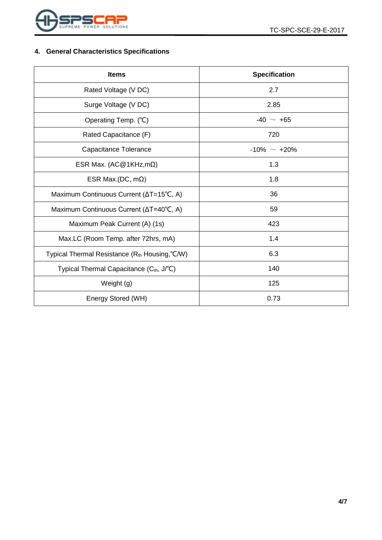

## <span id="page-3-0"></span>**4. General Characteristics Specifications**

| <b>Items</b>                                               | <b>Specification</b> |  |  |
|------------------------------------------------------------|----------------------|--|--|
| Rated Voltage (V DC)                                       | 2.7                  |  |  |
| Surge Voltage (V DC)                                       | 2.85                 |  |  |
| Operating Temp. (°C)                                       | $-40 \sim +65$       |  |  |
| Rated Capacitance (F)                                      | 720                  |  |  |
| Capacitance Tolerance                                      | $-10\% \sim +20\%$   |  |  |
| ESR Max. (AC@1KHz,m $\Omega$ )                             | 1.3                  |  |  |
| ESR Max.(DC, $m\Omega$ )                                   | 1.8                  |  |  |
| Maximum Continuous Current (ΔT=15°C, A)                    | 36                   |  |  |
| Maximum Continuous Current (∆T=40°C, A)                    | 59                   |  |  |
| Maximum Peak Current (A) (1s)                              | 423                  |  |  |
| Max.LC (Room Temp. after 72hrs, mA)                        | 1.4                  |  |  |
| Typical Thermal Resistance (R <sub>th</sub> Housing, °C/W) | 6.3                  |  |  |
| Typical Thermal Capacitance (Cth, J/°C)                    | 140                  |  |  |
| Weight (g)                                                 | 125                  |  |  |
| Energy Stored (WH)                                         | 0.73                 |  |  |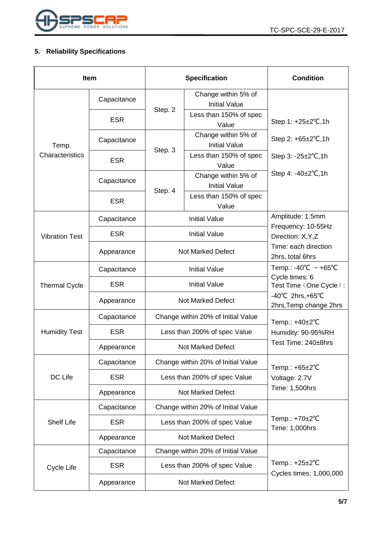

## <span id="page-4-0"></span>**5. Reliability Specifications**

| <b>Item</b>           |             | <b>Specification</b>               |                                             | <b>Condition</b>                                                 |  |
|-----------------------|-------------|------------------------------------|---------------------------------------------|------------------------------------------------------------------|--|
|                       | Capacitance |                                    | Change within 5% of<br><b>Initial Value</b> |                                                                  |  |
| Temp.                 | <b>ESR</b>  | Step. 2                            | Less than 150% of spec<br>Value             | Step 1: +25±2°C,1h                                               |  |
|                       | Capacitance | Step. 3                            | Change within 5% of<br><b>Initial Value</b> | Step 2: $+65\pm2\degree$ C, 1h                                   |  |
| Characteristics       | <b>ESR</b>  |                                    | Less than 150% of spec<br>Value             | Step $3: -25 \pm 2^{\circ}C, 1h$                                 |  |
|                       | Capacitance | Step. 4                            | Change within 5% of<br><b>Initial Value</b> | Step 4: $-40\pm2^{\circ}C$ , 1h                                  |  |
|                       | <b>ESR</b>  |                                    | Less than 150% of spec<br>Value             |                                                                  |  |
|                       | Capacitance |                                    | <b>Initial Value</b>                        | Amplitude: 1.5mm                                                 |  |
| <b>Vibration Test</b> | <b>ESR</b>  |                                    | <b>Initial Value</b>                        | Frequency: 10-55Hz<br>Direction: X, Y, Z                         |  |
|                       | Appearance  | <b>Not Marked Defect</b>           |                                             | Time: each direction<br>2hrs, total 6hrs                         |  |
| <b>Thermal Cycle</b>  | Capacitance | <b>Initial Value</b>               |                                             | Temp.: -40°C ~ +65°C<br>Cycle times: 6<br>Test Time (One Cycle): |  |
|                       | <b>ESR</b>  | <b>Initial Value</b>               |                                             |                                                                  |  |
|                       | Appearance  |                                    | Not Marked Defect                           | $-40^{\circ}$ C 2hrs, +65 $^{\circ}$ C<br>2hrs, Temp change 2hrs |  |
|                       | Capacitance |                                    | Change within 20% of Initial Value          | Temp.: $+40\pm2^{\circ}C$                                        |  |
| <b>Humidity Test</b>  | <b>ESR</b>  | Less than 200% of spec Value       |                                             | Humidity: 90-95%RH                                               |  |
|                       | Appearance  | Not Marked Defect                  |                                             | Test Time: 240±8hrs                                              |  |
|                       | Capacitance |                                    | Change within 20% of Initial Value          | Temp.: +65±2°C                                                   |  |
| DC Life               | <b>ESR</b>  | Less than 200% of spec Value       |                                             | Voltage: 2.7V                                                    |  |
|                       | Appearance  | <b>Not Marked Defect</b>           |                                             | Time: 1,500hrs                                                   |  |
| <b>Shelf Life</b>     | Capacitance | Change within 20% of Initial Value |                                             |                                                                  |  |
|                       | <b>ESR</b>  |                                    | Less than 200% of spec Value                | Temp.: +70±2°C<br>Time: 1,000hrs                                 |  |
|                       | Appearance  | <b>Not Marked Defect</b>           |                                             |                                                                  |  |
|                       | Capacitance |                                    | Change within 20% of Initial Value          |                                                                  |  |
| Cycle Life            | <b>ESR</b>  |                                    | Less than 200% of spec Value                | Temp.: $+25\pm2$ °C                                              |  |
|                       | Appearance  | <b>Not Marked Defect</b>           |                                             | Cycles times: 1,000,000                                          |  |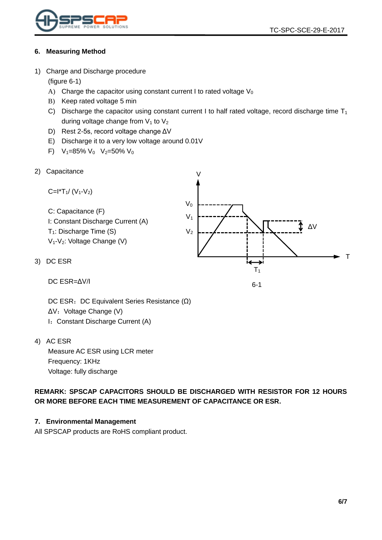

#### <span id="page-5-0"></span>**6. Measuring Method**

<span id="page-5-1"></span>1) Charge and Discharge procedure

(figure 6-1)

- A) Charge the capacitor using constant current I to rated voltage  $V_0$
- B) Keep rated voltage 5 min
- C) Discharge the capacitor using constant current I to half rated voltage, record discharge time  $T_1$ during voltage change from  $V_1$  to  $V_2$

 $\overline{V}$ 

- D) Rest 2-5s, record voltage change ΔV
- E) Discharge it to a very low voltage around 0.01V
- F)  $V_1=85\% V_0 V_2=50\% V_0$
- <span id="page-5-2"></span>2) Capacitance

C=
$$
l^*T_1/(V_1-V_2)
$$
  
\nC: Capacitance (F)  
\nI: Constant Discharge Current (A)  
\nT<sub>1</sub>: Discharge Time (S)  
\nV<sub>1</sub>-V<sub>2</sub>: Voltage Change (V)  
\nDC ESR  
\n
$$
V_2
$$

6-1

DC ESR=ΔV/I

<span id="page-5-3"></span> $3)$ 

DC ESR: DC Equivalent Series Resistance (Ω) ΔV: Voltage Change (V) I: Constant Discharge Current (A)

<span id="page-5-4"></span>4) AC ESR

Measure AC ESR using LCR meter Frequency: 1KHz Voltage: fully discharge

**REMARK: SPSCAP CAPACITORS SHOULD BE DISCHARGED WITH RESISTOR FOR 12 HOURS OR MORE BEFORE EACH TIME MEASUREMENT OF CAPACITANCE OR ESR.**

#### <span id="page-5-5"></span>**7. Environmental Management**

All SPSCAP products are RoHS compliant product.